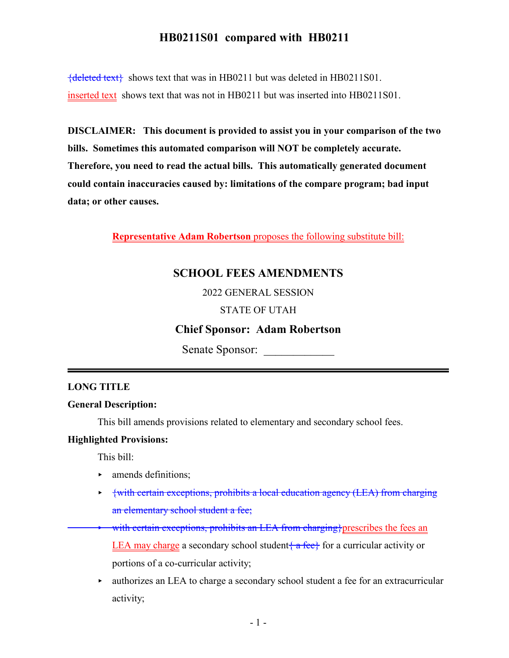${deleted text}$  shows text that was in HB0211 but was deleted in HB0211S01. inserted text shows text that was not in HB0211 but was inserted into HB0211S01.

**DISCLAIMER: This document is provided to assist you in your comparison of the two bills. Sometimes this automated comparison will NOT be completely accurate. Therefore, you need to read the actual bills. This automatically generated document could contain inaccuracies caused by: limitations of the compare program; bad input data; or other causes.**

**Representative Adam Robertson** proposes the following substitute bill:

## **SCHOOL FEES AMENDMENTS**

2022 GENERAL SESSION

### STATE OF UTAH

## **Chief Sponsor: Adam Robertson**

Senate Sponsor:

### **LONG TITLE**

### **General Description:**

This bill amends provisions related to elementary and secondary school fees.

### **Highlighted Provisions:**

This bill:

- $\blacktriangleright$  amends definitions;
- {with certain exceptions, prohibits a local education agency (LEA) from charging an elementary school student a fee;
- with certain exceptions, prohibits an LEA from charging}prescribes the fees an LEA may charge a secondary school student  $\{a$  fee $\}$  for a curricular activity or portions of a co-curricular activity;
- $\rightarrow$  authorizes an LEA to charge a secondary school student a fee for an extracurricular activity;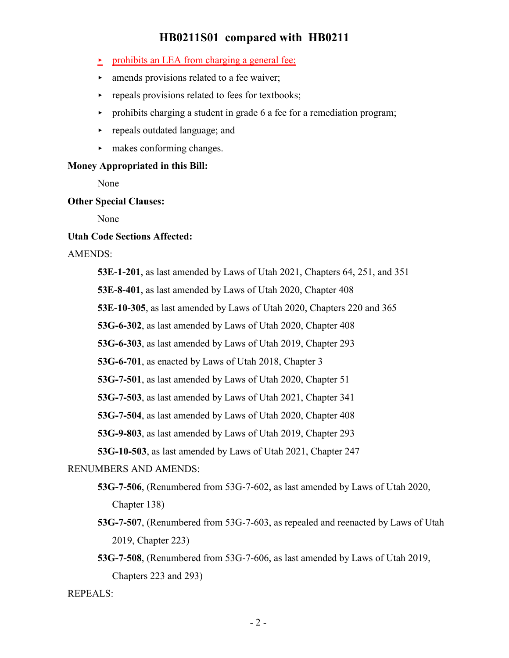- prohibits an LEA from charging a general fee;
- $\blacktriangleright$  amends provisions related to a fee waiver;
- $\blacktriangleright$  repeals provisions related to fees for textbooks;
- $\rightarrow$  prohibits charging a student in grade 6 a fee for a remediation program;
- $\rightarrow$  repeals outdated language; and
- $\blacktriangleright$  makes conforming changes.

### **Money Appropriated in this Bill:**

None

### **Other Special Clauses:**

None

### **Utah Code Sections Affected:**

#### AMENDS:

**53E-1-201**, as last amended by Laws of Utah 2021, Chapters 64, 251, and 351

**53E-8-401**, as last amended by Laws of Utah 2020, Chapter 408

**53E-10-305**, as last amended by Laws of Utah 2020, Chapters 220 and 365

**53G-6-302**, as last amended by Laws of Utah 2020, Chapter 408

**53G-6-303**, as last amended by Laws of Utah 2019, Chapter 293

**53G-6-701**, as enacted by Laws of Utah 2018, Chapter 3

**53G-7-501**, as last amended by Laws of Utah 2020, Chapter 51

**53G-7-503**, as last amended by Laws of Utah 2021, Chapter 341

**53G-7-504**, as last amended by Laws of Utah 2020, Chapter 408

**53G-9-803**, as last amended by Laws of Utah 2019, Chapter 293

**53G-10-503**, as last amended by Laws of Utah 2021, Chapter 247

### RENUMBERS AND AMENDS:

- **53G-7-506**, (Renumbered from 53G-7-602, as last amended by Laws of Utah 2020, Chapter 138)
- **53G-7-507**, (Renumbered from 53G-7-603, as repealed and reenacted by Laws of Utah 2019, Chapter 223)
- **53G-7-508**, (Renumbered from 53G-7-606, as last amended by Laws of Utah 2019, Chapters 223 and 293)

#### REPEALS: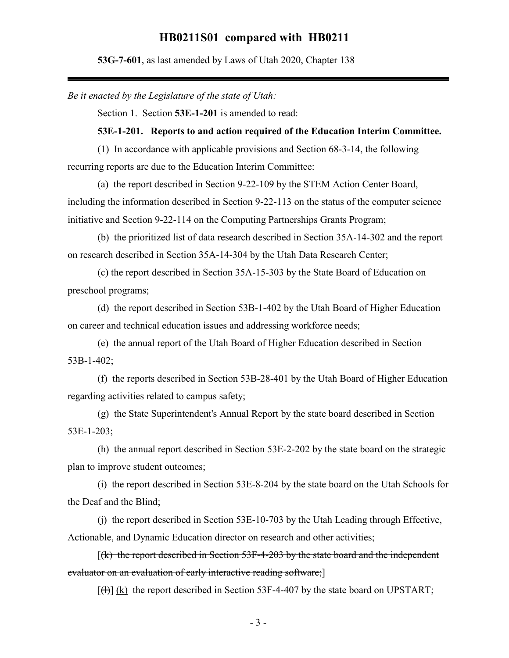**53G-7-601**, as last amended by Laws of Utah 2020, Chapter 138

*Be it enacted by the Legislature of the state of Utah:*

Section 1. Section **53E-1-201** is amended to read:

#### **53E-1-201. Reports to and action required of the Education Interim Committee.**

(1) In accordance with applicable provisions and Section 68-3-14, the following recurring reports are due to the Education Interim Committee:

(a) the report described in Section 9-22-109 by the STEM Action Center Board, including the information described in Section 9-22-113 on the status of the computer science initiative and Section 9-22-114 on the Computing Partnerships Grants Program;

(b) the prioritized list of data research described in Section 35A-14-302 and the report on research described in Section 35A-14-304 by the Utah Data Research Center;

(c) the report described in Section 35A-15-303 by the State Board of Education on preschool programs;

(d) the report described in Section 53B-1-402 by the Utah Board of Higher Education on career and technical education issues and addressing workforce needs;

(e) the annual report of the Utah Board of Higher Education described in Section 53B-1-402;

(f) the reports described in Section 53B-28-401 by the Utah Board of Higher Education regarding activities related to campus safety;

(g) the State Superintendent's Annual Report by the state board described in Section 53E-1-203;

(h) the annual report described in Section 53E-2-202 by the state board on the strategic plan to improve student outcomes;

(i) the report described in Section 53E-8-204 by the state board on the Utah Schools for the Deaf and the Blind;

(j) the report described in Section 53E-10-703 by the Utah Leading through Effective, Actionable, and Dynamic Education director on research and other activities;

 $[(k)$  the report described in Section 53F-4-203 by the state board and the independent evaluator on an evaluation of early interactive reading software;]

 $[f(H)]$  (k) the report described in Section 53F-4-407 by the state board on UPSTART;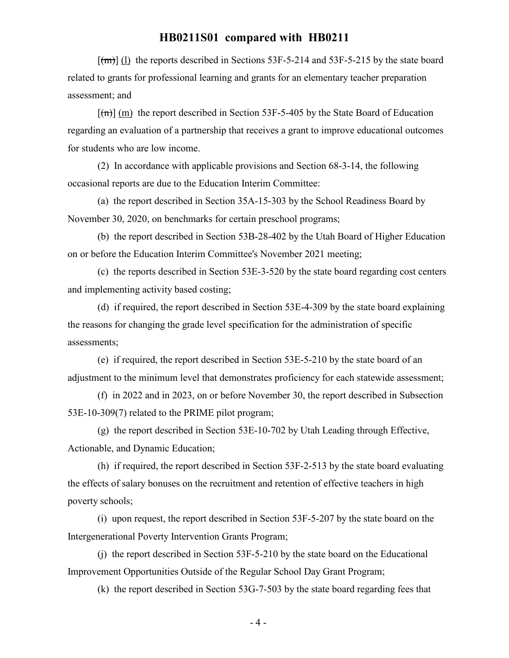$[\text{fm}]$  (1) the reports described in Sections 53F-5-214 and 53F-5-215 by the state board related to grants for professional learning and grants for an elementary teacher preparation assessment; and

 $[(m)]$  (m) the report described in Section 53F-5-405 by the State Board of Education regarding an evaluation of a partnership that receives a grant to improve educational outcomes for students who are low income.

(2) In accordance with applicable provisions and Section 68-3-14, the following occasional reports are due to the Education Interim Committee:

(a) the report described in Section 35A-15-303 by the School Readiness Board by November 30, 2020, on benchmarks for certain preschool programs;

(b) the report described in Section 53B-28-402 by the Utah Board of Higher Education on or before the Education Interim Committee's November 2021 meeting;

(c) the reports described in Section 53E-3-520 by the state board regarding cost centers and implementing activity based costing;

(d) if required, the report described in Section 53E-4-309 by the state board explaining the reasons for changing the grade level specification for the administration of specific assessments;

(e) if required, the report described in Section 53E-5-210 by the state board of an adjustment to the minimum level that demonstrates proficiency for each statewide assessment;

(f) in 2022 and in 2023, on or before November 30, the report described in Subsection 53E-10-309(7) related to the PRIME pilot program;

(g) the report described in Section 53E-10-702 by Utah Leading through Effective, Actionable, and Dynamic Education;

(h) if required, the report described in Section 53F-2-513 by the state board evaluating the effects of salary bonuses on the recruitment and retention of effective teachers in high poverty schools;

(i) upon request, the report described in Section 53F-5-207 by the state board on the Intergenerational Poverty Intervention Grants Program;

(j) the report described in Section 53F-5-210 by the state board on the Educational Improvement Opportunities Outside of the Regular School Day Grant Program;

(k) the report described in Section 53G-7-503 by the state board regarding fees that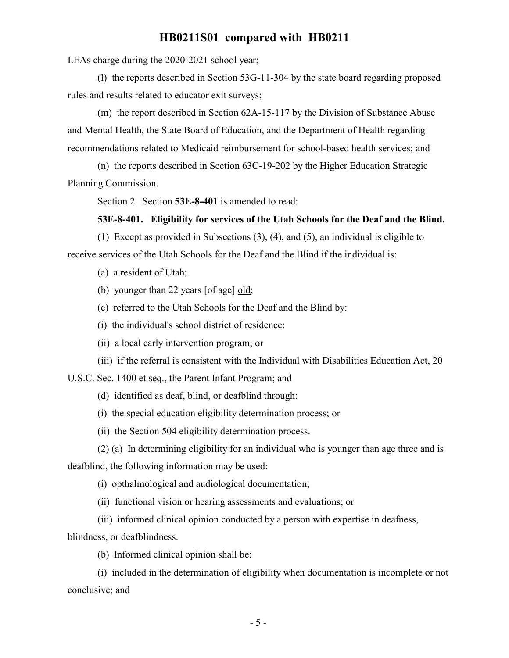LEAs charge during the 2020-2021 school year;

(l) the reports described in Section 53G-11-304 by the state board regarding proposed rules and results related to educator exit surveys;

(m) the report described in Section 62A-15-117 by the Division of Substance Abuse and Mental Health, the State Board of Education, and the Department of Health regarding recommendations related to Medicaid reimbursement for school-based health services; and

(n) the reports described in Section 63C-19-202 by the Higher Education Strategic Planning Commission.

Section 2. Section **53E-8-401** is amended to read:

#### **53E-8-401. Eligibility for services of the Utah Schools for the Deaf and the Blind.**

(1) Except as provided in Subsections (3), (4), and (5), an individual is eligible to receive services of the Utah Schools for the Deaf and the Blind if the individual is:

(a) a resident of Utah;

(b) younger than 22 years  $[of \, age]$  old;

(c) referred to the Utah Schools for the Deaf and the Blind by:

(i) the individual's school district of residence;

(ii) a local early intervention program; or

(iii) if the referral is consistent with the Individual with Disabilities Education Act, 20

U.S.C. Sec. 1400 et seq., the Parent Infant Program; and

(d) identified as deaf, blind, or deafblind through:

(i) the special education eligibility determination process; or

(ii) the Section 504 eligibility determination process.

(2) (a) In determining eligibility for an individual who is younger than age three and is deafblind, the following information may be used:

(i) opthalmological and audiological documentation;

(ii) functional vision or hearing assessments and evaluations; or

(iii) informed clinical opinion conducted by a person with expertise in deafness,

blindness, or deafblindness.

(b) Informed clinical opinion shall be:

(i) included in the determination of eligibility when documentation is incomplete or not conclusive; and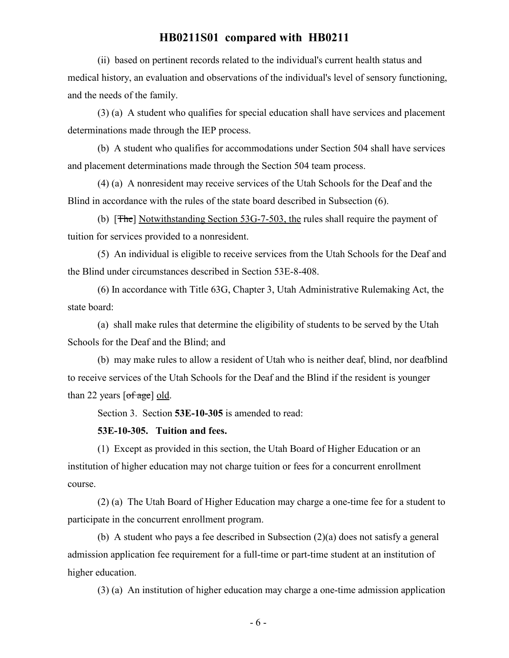(ii) based on pertinent records related to the individual's current health status and medical history, an evaluation and observations of the individual's level of sensory functioning, and the needs of the family.

(3) (a) A student who qualifies for special education shall have services and placement determinations made through the IEP process.

(b) A student who qualifies for accommodations under Section 504 shall have services and placement determinations made through the Section 504 team process.

(4) (a) A nonresident may receive services of the Utah Schools for the Deaf and the Blind in accordance with the rules of the state board described in Subsection (6).

(b) [The] Notwithstanding Section 53G-7-503, the rules shall require the payment of tuition for services provided to a nonresident.

(5) An individual is eligible to receive services from the Utah Schools for the Deaf and the Blind under circumstances described in Section 53E-8-408.

(6) In accordance with Title 63G, Chapter 3, Utah Administrative Rulemaking Act, the state board:

(a) shall make rules that determine the eligibility of students to be served by the Utah Schools for the Deaf and the Blind; and

(b) may make rules to allow a resident of Utah who is neither deaf, blind, nor deafblind to receive services of the Utah Schools for the Deaf and the Blind if the resident is younger than 22 years  $\lceil \text{of age} \rceil$  old.

Section 3. Section **53E-10-305** is amended to read:

### **53E-10-305. Tuition and fees.**

(1) Except as provided in this section, the Utah Board of Higher Education or an institution of higher education may not charge tuition or fees for a concurrent enrollment course.

(2) (a) The Utah Board of Higher Education may charge a one-time fee for a student to participate in the concurrent enrollment program.

(b) A student who pays a fee described in Subsection (2)(a) does not satisfy a general admission application fee requirement for a full-time or part-time student at an institution of higher education.

(3) (a) An institution of higher education may charge a one-time admission application

- 6 -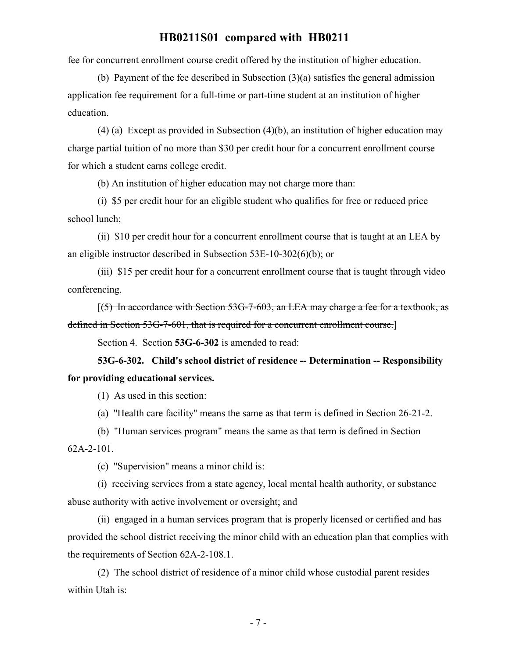fee for concurrent enrollment course credit offered by the institution of higher education.

(b) Payment of the fee described in Subsection (3)(a) satisfies the general admission application fee requirement for a full-time or part-time student at an institution of higher education.

(4) (a) Except as provided in Subsection (4)(b), an institution of higher education may charge partial tuition of no more than \$30 per credit hour for a concurrent enrollment course for which a student earns college credit.

(b) An institution of higher education may not charge more than:

(i) \$5 per credit hour for an eligible student who qualifies for free or reduced price school lunch;

(ii) \$10 per credit hour for a concurrent enrollment course that is taught at an LEA by an eligible instructor described in Subsection 53E-10-302(6)(b); or

(iii) \$15 per credit hour for a concurrent enrollment course that is taught through video conferencing.

 $(5)$  In accordance with Section 53G-7-603, an LEA may charge a fee for a textbook, as defined in Section 53G-7-601, that is required for a concurrent enrollment course.]

Section 4. Section **53G-6-302** is amended to read:

**53G-6-302. Child's school district of residence -- Determination -- Responsibility for providing educational services.**

(1) As used in this section:

(a) "Health care facility" means the same as that term is defined in Section 26-21-2.

(b) "Human services program" means the same as that term is defined in Section 62A-2-101.

(c) "Supervision" means a minor child is:

(i) receiving services from a state agency, local mental health authority, or substance abuse authority with active involvement or oversight; and

(ii) engaged in a human services program that is properly licensed or certified and has provided the school district receiving the minor child with an education plan that complies with the requirements of Section 62A-2-108.1.

(2) The school district of residence of a minor child whose custodial parent resides within Utah is: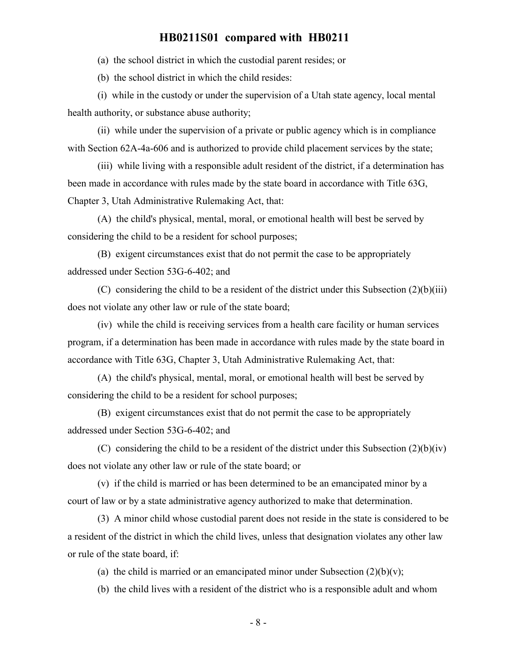(a) the school district in which the custodial parent resides; or

(b) the school district in which the child resides:

(i) while in the custody or under the supervision of a Utah state agency, local mental health authority, or substance abuse authority;

(ii) while under the supervision of a private or public agency which is in compliance with Section 62A-4a-606 and is authorized to provide child placement services by the state;

(iii) while living with a responsible adult resident of the district, if a determination has been made in accordance with rules made by the state board in accordance with Title 63G, Chapter 3, Utah Administrative Rulemaking Act, that:

(A) the child's physical, mental, moral, or emotional health will best be served by considering the child to be a resident for school purposes;

(B) exigent circumstances exist that do not permit the case to be appropriately addressed under Section 53G-6-402; and

(C) considering the child to be a resident of the district under this Subsection  $(2)(b)(iii)$ does not violate any other law or rule of the state board;

(iv) while the child is receiving services from a health care facility or human services program, if a determination has been made in accordance with rules made by the state board in accordance with Title 63G, Chapter 3, Utah Administrative Rulemaking Act, that:

(A) the child's physical, mental, moral, or emotional health will best be served by considering the child to be a resident for school purposes;

(B) exigent circumstances exist that do not permit the case to be appropriately addressed under Section 53G-6-402; and

(C) considering the child to be a resident of the district under this Subsection  $(2)(b)(iv)$ does not violate any other law or rule of the state board; or

(v) if the child is married or has been determined to be an emancipated minor by a court of law or by a state administrative agency authorized to make that determination.

(3) A minor child whose custodial parent does not reside in the state is considered to be a resident of the district in which the child lives, unless that designation violates any other law or rule of the state board, if:

(a) the child is married or an emancipated minor under Subsection  $(2)(b)(v)$ ;

(b) the child lives with a resident of the district who is a responsible adult and whom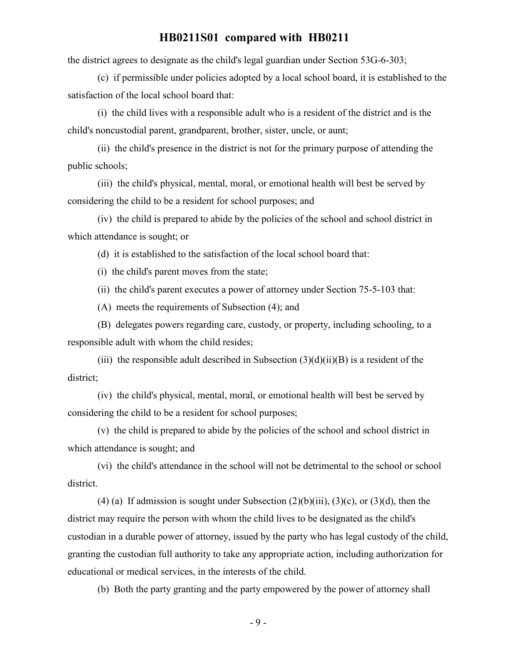the district agrees to designate as the child's legal guardian under Section 53G-6-303;

(c) if permissible under policies adopted by a local school board, it is established to the satisfaction of the local school board that:

(i) the child lives with a responsible adult who is a resident of the district and is the child's noncustodial parent, grandparent, brother, sister, uncle, or aunt;

(ii) the child's presence in the district is not for the primary purpose of attending the public schools;

(iii) the child's physical, mental, moral, or emotional health will best be served by considering the child to be a resident for school purposes; and

(iv) the child is prepared to abide by the policies of the school and school district in which attendance is sought; or

(d) it is established to the satisfaction of the local school board that:

(i) the child's parent moves from the state;

(ii) the child's parent executes a power of attorney under Section 75-5-103 that:

(A) meets the requirements of Subsection (4); and

(B) delegates powers regarding care, custody, or property, including schooling, to a responsible adult with whom the child resides;

(iii) the responsible adult described in Subsection  $(3)(d)(ii)(B)$  is a resident of the district;

(iv) the child's physical, mental, moral, or emotional health will best be served by considering the child to be a resident for school purposes;

(v) the child is prepared to abide by the policies of the school and school district in which attendance is sought; and

(vi) the child's attendance in the school will not be detrimental to the school or school district.

(4) (a) If admission is sought under Subsection  $(2)(b)(iii)$ ,  $(3)(c)$ , or  $(3)(d)$ , then the district may require the person with whom the child lives to be designated as the child's custodian in a durable power of attorney, issued by the party who has legal custody of the child, granting the custodian full authority to take any appropriate action, including authorization for educational or medical services, in the interests of the child.

(b) Both the party granting and the party empowered by the power of attorney shall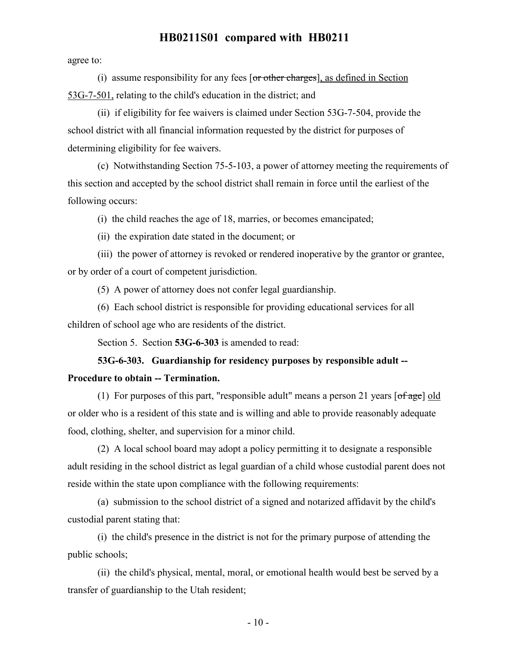agree to:

(i) assume responsibility for any fees [or other charges], as defined in Section 53G-7-501, relating to the child's education in the district; and

(ii) if eligibility for fee waivers is claimed under Section 53G-7-504, provide the school district with all financial information requested by the district for purposes of determining eligibility for fee waivers.

(c) Notwithstanding Section 75-5-103, a power of attorney meeting the requirements of this section and accepted by the school district shall remain in force until the earliest of the following occurs:

(i) the child reaches the age of 18, marries, or becomes emancipated;

(ii) the expiration date stated in the document; or

(iii) the power of attorney is revoked or rendered inoperative by the grantor or grantee, or by order of a court of competent jurisdiction.

(5) A power of attorney does not confer legal guardianship.

(6) Each school district is responsible for providing educational services for all children of school age who are residents of the district.

Section 5. Section **53G-6-303** is amended to read:

# **53G-6-303. Guardianship for residency purposes by responsible adult -- Procedure to obtain -- Termination.**

(1) For purposes of this part, "responsible adult" means a person 21 years  $\lceil \frac{\text{of age}}{\text{of age}} \rceil$  old or older who is a resident of this state and is willing and able to provide reasonably adequate food, clothing, shelter, and supervision for a minor child.

(2) A local school board may adopt a policy permitting it to designate a responsible adult residing in the school district as legal guardian of a child whose custodial parent does not reside within the state upon compliance with the following requirements:

(a) submission to the school district of a signed and notarized affidavit by the child's custodial parent stating that:

(i) the child's presence in the district is not for the primary purpose of attending the public schools;

(ii) the child's physical, mental, moral, or emotional health would best be served by a transfer of guardianship to the Utah resident;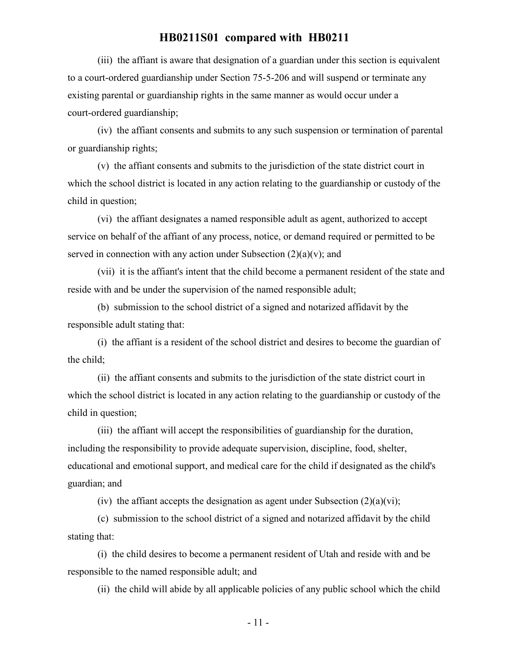(iii) the affiant is aware that designation of a guardian under this section is equivalent to a court-ordered guardianship under Section 75-5-206 and will suspend or terminate any existing parental or guardianship rights in the same manner as would occur under a court-ordered guardianship;

(iv) the affiant consents and submits to any such suspension or termination of parental or guardianship rights;

(v) the affiant consents and submits to the jurisdiction of the state district court in which the school district is located in any action relating to the guardianship or custody of the child in question;

(vi) the affiant designates a named responsible adult as agent, authorized to accept service on behalf of the affiant of any process, notice, or demand required or permitted to be served in connection with any action under Subsection  $(2)(a)(v)$ ; and

(vii) it is the affiant's intent that the child become a permanent resident of the state and reside with and be under the supervision of the named responsible adult;

(b) submission to the school district of a signed and notarized affidavit by the responsible adult stating that:

(i) the affiant is a resident of the school district and desires to become the guardian of the child;

(ii) the affiant consents and submits to the jurisdiction of the state district court in which the school district is located in any action relating to the guardianship or custody of the child in question;

(iii) the affiant will accept the responsibilities of guardianship for the duration, including the responsibility to provide adequate supervision, discipline, food, shelter, educational and emotional support, and medical care for the child if designated as the child's guardian; and

(iv) the affiant accepts the designation as agent under Subsection  $(2)(a)(vi)$ ;

(c) submission to the school district of a signed and notarized affidavit by the child stating that:

(i) the child desires to become a permanent resident of Utah and reside with and be responsible to the named responsible adult; and

(ii) the child will abide by all applicable policies of any public school which the child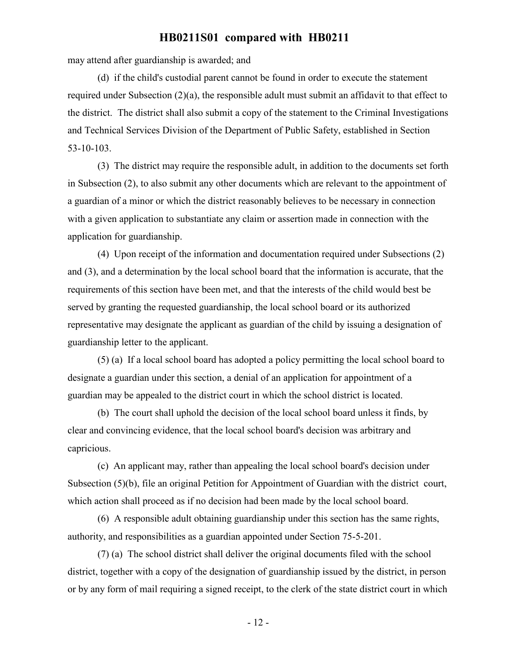may attend after guardianship is awarded; and

(d) if the child's custodial parent cannot be found in order to execute the statement required under Subsection (2)(a), the responsible adult must submit an affidavit to that effect to the district. The district shall also submit a copy of the statement to the Criminal Investigations and Technical Services Division of the Department of Public Safety, established in Section 53-10-103.

(3) The district may require the responsible adult, in addition to the documents set forth in Subsection (2), to also submit any other documents which are relevant to the appointment of a guardian of a minor or which the district reasonably believes to be necessary in connection with a given application to substantiate any claim or assertion made in connection with the application for guardianship.

(4) Upon receipt of the information and documentation required under Subsections (2) and (3), and a determination by the local school board that the information is accurate, that the requirements of this section have been met, and that the interests of the child would best be served by granting the requested guardianship, the local school board or its authorized representative may designate the applicant as guardian of the child by issuing a designation of guardianship letter to the applicant.

(5) (a) If a local school board has adopted a policy permitting the local school board to designate a guardian under this section, a denial of an application for appointment of a guardian may be appealed to the district court in which the school district is located.

(b) The court shall uphold the decision of the local school board unless it finds, by clear and convincing evidence, that the local school board's decision was arbitrary and capricious.

(c) An applicant may, rather than appealing the local school board's decision under Subsection (5)(b), file an original Petition for Appointment of Guardian with the district court, which action shall proceed as if no decision had been made by the local school board.

(6) A responsible adult obtaining guardianship under this section has the same rights, authority, and responsibilities as a guardian appointed under Section 75-5-201.

(7) (a) The school district shall deliver the original documents filed with the school district, together with a copy of the designation of guardianship issued by the district, in person or by any form of mail requiring a signed receipt, to the clerk of the state district court in which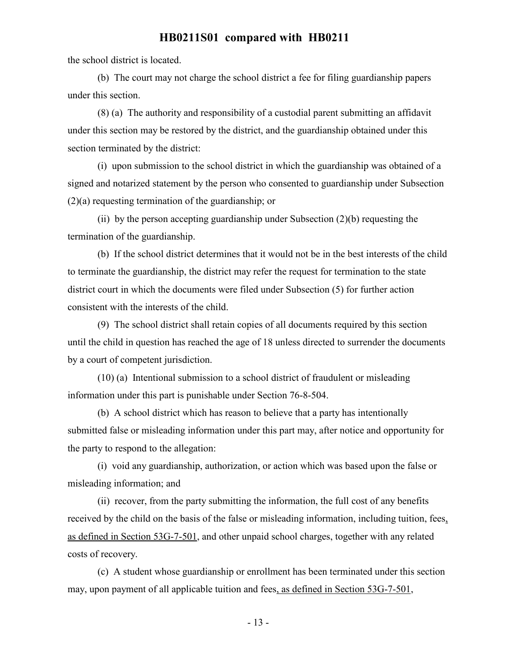the school district is located.

(b) The court may not charge the school district a fee for filing guardianship papers under this section.

(8) (a) The authority and responsibility of a custodial parent submitting an affidavit under this section may be restored by the district, and the guardianship obtained under this section terminated by the district:

(i) upon submission to the school district in which the guardianship was obtained of a signed and notarized statement by the person who consented to guardianship under Subsection (2)(a) requesting termination of the guardianship; or

(ii) by the person accepting guardianship under Subsection (2)(b) requesting the termination of the guardianship.

(b) If the school district determines that it would not be in the best interests of the child to terminate the guardianship, the district may refer the request for termination to the state district court in which the documents were filed under Subsection (5) for further action consistent with the interests of the child.

(9) The school district shall retain copies of all documents required by this section until the child in question has reached the age of 18 unless directed to surrender the documents by a court of competent jurisdiction.

(10) (a) Intentional submission to a school district of fraudulent or misleading information under this part is punishable under Section 76-8-504.

(b) A school district which has reason to believe that a party has intentionally submitted false or misleading information under this part may, after notice and opportunity for the party to respond to the allegation:

(i) void any guardianship, authorization, or action which was based upon the false or misleading information; and

(ii) recover, from the party submitting the information, the full cost of any benefits received by the child on the basis of the false or misleading information, including tuition, fees, as defined in Section 53G-7-501, and other unpaid school charges, together with any related costs of recovery.

(c) A student whose guardianship or enrollment has been terminated under this section may, upon payment of all applicable tuition and fees, as defined in Section 53G-7-501,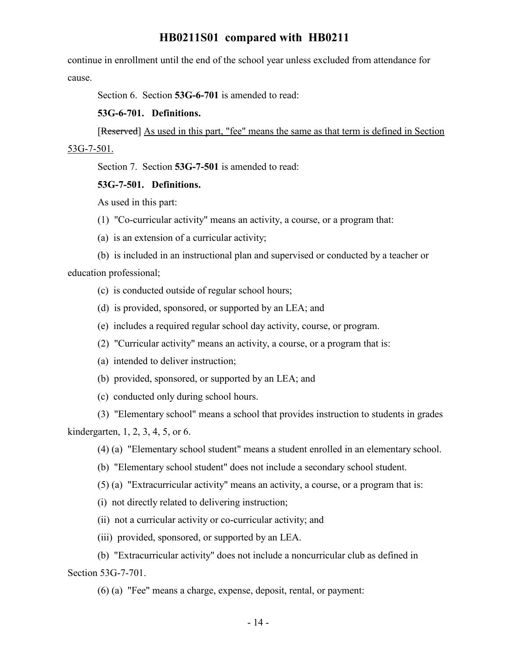continue in enrollment until the end of the school year unless excluded from attendance for cause.

Section 6. Section **53G-6-701** is amended to read:

**53G-6-701. Definitions.**

[Reserved] As used in this part, "fee" means the same as that term is defined in Section 53G-7-501.

Section 7. Section **53G-7-501** is amended to read:

### **53G-7-501. Definitions.**

As used in this part:

- (1) "Co-curricular activity" means an activity, a course, or a program that:
- (a) is an extension of a curricular activity;

(b) is included in an instructional plan and supervised or conducted by a teacher or education professional;

- (c) is conducted outside of regular school hours;
- (d) is provided, sponsored, or supported by an LEA; and
- (e) includes a required regular school day activity, course, or program.
- (2) "Curricular activity" means an activity, a course, or a program that is:
- (a) intended to deliver instruction;
- (b) provided, sponsored, or supported by an LEA; and
- (c) conducted only during school hours.

(3) "Elementary school" means a school that provides instruction to students in grades kindergarten, 1, 2, 3, 4, 5, or 6.

- (4) (a) "Elementary school student" means a student enrolled in an elementary school.
- (b) "Elementary school student" does not include a secondary school student.
- (5) (a) "Extracurricular activity" means an activity, a course, or a program that is:
- (i) not directly related to delivering instruction;
- (ii) not a curricular activity or co-curricular activity; and
- (iii) provided, sponsored, or supported by an LEA.

(b) "Extracurricular activity" does not include a noncurricular club as defined in Section 53G-7-701.

(6) (a) "Fee" means a charge, expense, deposit, rental, or payment: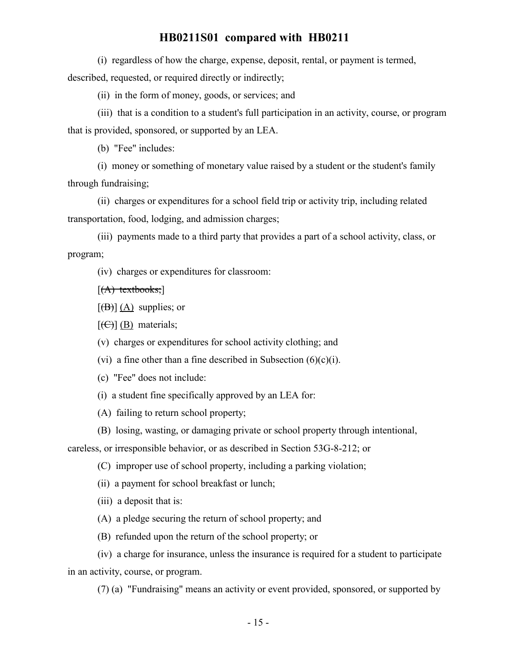(i) regardless of how the charge, expense, deposit, rental, or payment is termed, described, requested, or required directly or indirectly;

(ii) in the form of money, goods, or services; and

(iii) that is a condition to a student's full participation in an activity, course, or program that is provided, sponsored, or supported by an LEA.

(b) "Fee" includes:

(i) money or something of monetary value raised by a student or the student's family through fundraising;

(ii) charges or expenditures for a school field trip or activity trip, including related transportation, food, lodging, and admission charges;

(iii) payments made to a third party that provides a part of a school activity, class, or program;

(iv) charges or expenditures for classroom:

 $[(A)$  textbooks;

 $[\overline{(B)}](A)$  supplies; or

 $[\text{(\Theta)}]$  (B) materials;

(v) charges or expenditures for school activity clothing; and

(vi) a fine other than a fine described in Subsection  $(6)(c)(i)$ .

(c) "Fee" does not include:

(i) a student fine specifically approved by an LEA for:

(A) failing to return school property;

(B) losing, wasting, or damaging private or school property through intentional,

careless, or irresponsible behavior, or as described in Section 53G-8-212; or

(C) improper use of school property, including a parking violation;

(ii) a payment for school breakfast or lunch;

(iii) a deposit that is:

- (A) a pledge securing the return of school property; and
- (B) refunded upon the return of the school property; or

(iv) a charge for insurance, unless the insurance is required for a student to participate in an activity, course, or program.

(7) (a) "Fundraising" means an activity or event provided, sponsored, or supported by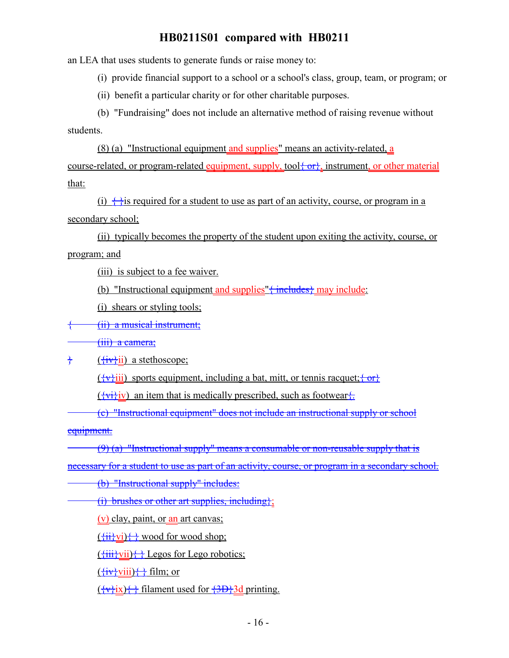an LEA that uses students to generate funds or raise money to:

(i) provide financial support to a school or a school's class, group, team, or program; or

(ii) benefit a particular charity or for other charitable purposes.

(b) "Fundraising" does not include an alternative method of raising revenue without students.

(8) (a) "Instructional equipment and supplies" means an activity-related, a course-related, or program-related equipment, supply, tool  $\{\sigma r\}$ , instrument, or other material that:

(i)  $\leftrightarrow$  is required for a student to use as part of an activity, course, or program in a secondary school;

(ii) typically becomes the property of the student upon exiting the activity, course, or program; and

(iii) is subject to a fee waiver.

(b) "Instructional equipment and supplies" $\{\text{includes}\}\$  may include:

(i) shears or styling tools;

{ (ii) a musical instrument;

(iii) a camera;

 $\frac{1}{2}$  ( $\frac{fiv}{i}$ ii) a stethoscope;

 $(\overleftrightarrow{v}^i)$  sports equipment, including a bat, mitt, or tennis racquet;  $\overleftrightarrow{or}$ 

 $(\overrightarrow{v_i}\})$  an item that is medically prescribed, such as footwear.

(c) "Instructional equipment" does not include an instructional supply or school equipment.

 $(9)$  (a) "Instructional supply" means a consumable or non-reusable supply that is

necessary for a student to use as part of an activity, course, or program in a secondary school.

(b) "Instructional supply" includes:

(i) brushes or other art supplies, including};

(v) clay, paint, or an art canvas;

 $(\overleftrightarrow{\text{iii}}\text{vi})\overleftrightarrow{\text{iv}}$  wood for wood shop;

 $(\overleftrightarrow{\text{iii}}\text{vii})\longleftrightarrow$  Legos for Lego robotics;

 $(\overleftrightarrow{\text{iv}}$ viii) $\leftrightarrow$  film; or

 $(\overleftrightarrow{\mathbf{v}})$  filament used for  $\overleftrightarrow{\mathbf{3D}}$  ad printing.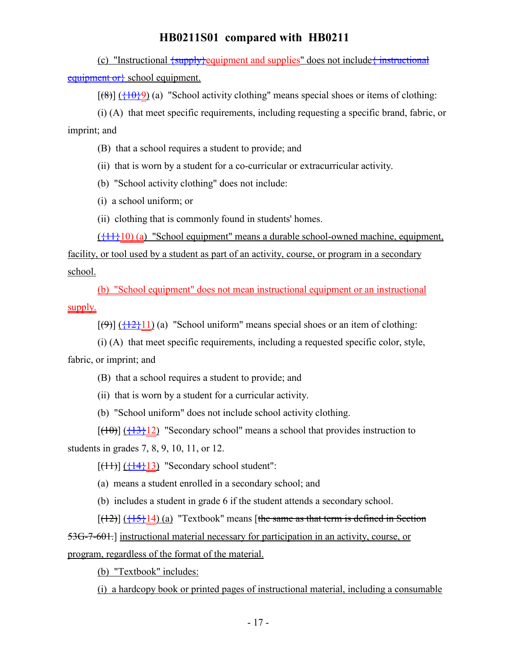(c) "Instructional  $\frac{\text{supply}}{\text{equiment}}$  and supplies" does not include  $\frac{\text{interf}}{\text{interf}}$ equipment or school equipment.

 $[(8)] (\frac{10}{9})$  (a) "School activity clothing" means special shoes or items of clothing:

(i) (A) that meet specific requirements, including requesting a specific brand, fabric, or imprint; and

(B) that a school requires a student to provide; and

(ii) that is worn by a student for a co-curricular or extracurricular activity.

(b) "School activity clothing" does not include:

(i) a school uniform; or

(ii) clothing that is commonly found in students' homes.

 $(\{11\}10)$  (a) "School equipment" means a durable school-owned machine, equipment,

facility, or tool used by a student as part of an activity, course, or program in a secondary school.

(b) "School equipment" does not mean instructional equipment or an instructional supply.

 $[(9)] (\frac{12}{12})$  (a) "School uniform" means special shoes or an item of clothing:

(i) (A) that meet specific requirements, including a requested specific color, style, fabric, or imprint; and

(B) that a school requires a student to provide; and

(ii) that is worn by a student for a curricular activity.

(b) "School uniform" does not include school activity clothing.

 $[(10)]$   $(13)$  "Secondary school" means a school that provides instruction to students in grades 7, 8, 9, 10, 11, or 12.

 $[(11)]$   $(14)$ ]  $(14)$ ]  $(13)$  "Secondary school student":

(a) means a student enrolled in a secondary school; and

(b) includes a student in grade 6 if the student attends a secondary school.

 $[(12)]$  ( $\{15\}$ 14) (a) "Textbook" means [the same as that term is defined in Section 53G-7-601.] instructional material necessary for participation in an activity, course, or program, regardless of the format of the material.

(b) "Textbook" includes:

(i) a hardcopy book or printed pages of instructional material, including a consumable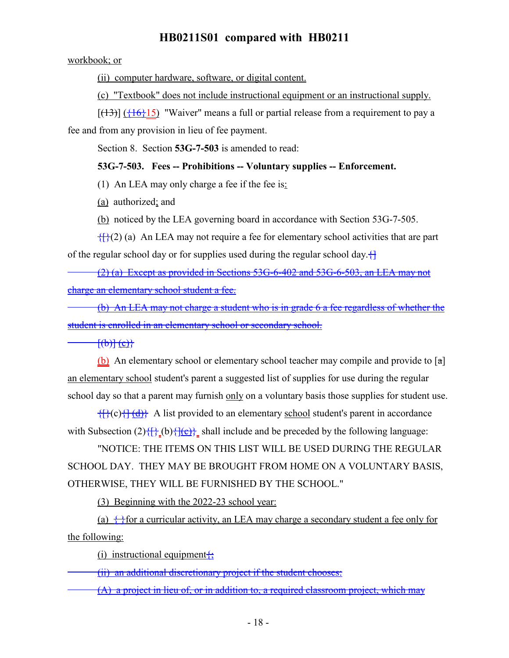workbook; or

(ii) computer hardware, software, or digital content.

(c) "Textbook" does not include instructional equipment or an instructional supply.

 $[(13)]$  ( $\{16\}$ 15) "Waiver" means a full or partial release from a requirement to pay a

fee and from any provision in lieu of fee payment.

Section 8. Section **53G-7-503** is amended to read:

## **53G-7-503. Fees -- Prohibitions -- Voluntary supplies -- Enforcement.**

(1) An LEA may only charge a fee if the fee is:

(a) authorized; and

(b) noticed by the LEA governing board in accordance with Section 53G-7-505.

 $\{f\}(2)$  (a) An LEA may not require a fee for elementary school activities that are part of the regular school day or for supplies used during the regular school day. $\left\{\right\}$ 

(2) (a) Except as provided in Sections 53G-6-402 and 53G-6-503, an LEA may not charge an elementary school student a fee.

(b) An LEA may not charge a student who is in grade 6 a fee regardless of whether the student is enrolled in an elementary school or secondary school.

 $\{\theta\}$  $\{\theta\}$ 

(b) An elementary school or elementary school teacher may compile and provide to  $\lceil a \rceil$ an elementary school student's parent a suggested list of supplies for use during the regular school day so that a parent may furnish only on a voluntary basis those supplies for student use.

 $\{\{\}(c)\{\{\}(\}\{\}\})$  A list provided to an elementary school student's parent in accordance with Subsection  $(2)$ { $\{$ } $\{$ <sub>{</sub> $\}$ } $\{$ <sub>{</sub> $\{$ <sub>}</sub>} shall include and be preceded by the following language:

"NOTICE: THE ITEMS ON THIS LIST WILL BE USED DURING THE REGULAR SCHOOL DAY. THEY MAY BE BROUGHT FROM HOME ON A VOLUNTARY BASIS, OTHERWISE, THEY WILL BE FURNISHED BY THE SCHOOL."

(3) Beginning with the 2022-23 school year:

(a)  $\leftrightarrow$  for a curricular activity, an LEA may charge a secondary student a fee only for the following:

(i) instructional equipment $\{$ ;

(ii) an additional discretionary project if the student chooses:

(A) a project in lieu of, or in addition to, a required classroom project, which may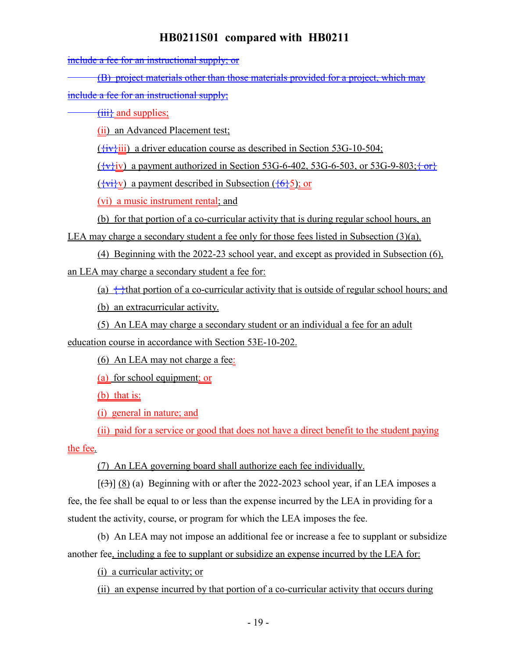include a fee for an instructional supply; or

(B) project materials other than those materials provided for a project, which may

include a fee for an instructional supply;

 $\overrightarrow{iii}$  and supplies;

(ii) an Advanced Placement test;

 $({}_{i}\overrightarrow{vv}$ iii) a driver education course as described in Section 53G-10-504;

 $({\overline{\mathbf{v}}}, {\overline{\mathbf{v}}})$  a payment authorized in Section 53G-6-402, 53G-6-503, or 53G-9-803;  ${\overline{\mathbf{v}}}$ 

 $(\overrightarrow{vv}v)$  a payment described in Subsection  $(\overrightarrow{6}5)$ ; or

(vi) a music instrument rental; and

(b) for that portion of a co-curricular activity that is during regular school hours, an

LEA may charge a secondary student a fee only for those fees listed in Subsection (3)(a).

(4) Beginning with the 2022-23 school year, and except as provided in Subsection (6), an LEA may charge a secondary student a fee for:

(a)  $\leftrightarrow$  that portion of a co-curricular activity that is outside of regular school hours; and

(b) an extracurricular activity.

(5) An LEA may charge a secondary student or an individual a fee for an adult

education course in accordance with Section 53E-10-202.

(6) An LEA may not charge a fee:

(a) for school equipment; or

(b) that is:

(i) general in nature; and

(ii) paid for a service or good that does not have a direct benefit to the student paying the fee.

(7) An LEA governing board shall authorize each fee individually.

 $[\frac{1}{3}]$  (8) (a) Beginning with or after the 2022-2023 school year, if an LEA imposes a fee, the fee shall be equal to or less than the expense incurred by the LEA in providing for a student the activity, course, or program for which the LEA imposes the fee.

(b) An LEA may not impose an additional fee or increase a fee to supplant or subsidize another fee, including a fee to supplant or subsidize an expense incurred by the LEA for:

(i) a curricular activity; or

(ii) an expense incurred by that portion of a co-curricular activity that occurs during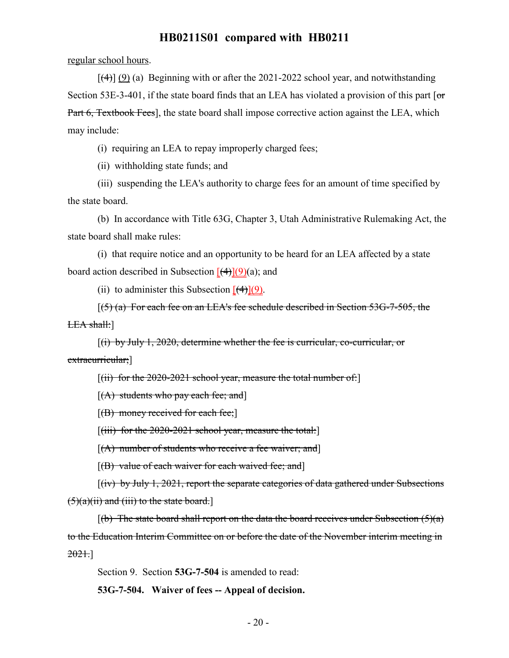regular school hours.

 $[(4)] (9)$  (a) Beginning with or after the 2021-2022 school year, and notwithstanding Section 53E-3-401, if the state board finds that an LEA has violated a provision of this part  $\sigma$ Part 6, Textbook Fees], the state board shall impose corrective action against the LEA, which may include:

(i) requiring an LEA to repay improperly charged fees;

(ii) withholding state funds; and

(iii) suspending the LEA's authority to charge fees for an amount of time specified by the state board.

(b) In accordance with Title 63G, Chapter 3, Utah Administrative Rulemaking Act, the state board shall make rules:

(i) that require notice and an opportunity to be heard for an LEA affected by a state board action described in Subsection  $[(4)](9)(a)$ ; and

(ii) to administer this Subsection  $\left[\frac{4}{3}\right](9)$ .

 $(5)$  (a) For each fee on an LEA's fee schedule described in Section 53G-7-505, the LEA shall:]

[(i) by July 1, 2020, determine whether the fee is curricular, co-curricular, or extracurricular;]

 $[(ii)$  for the 2020-2021 school year, measure the total number of:

 $[(A)$  students who pay each fee; and

 $[f(B)$  money received for each fee;

 $[(iii)$  for the 2020-2021 school year, measure the total:

 $[(A)$  number of students who receive a fee waiver; and

 $[(B)$  value of each waiver for each waived fee; and]

[(iv) by July 1, 2021, report the separate categories of data gathered under Subsections  $(5)(a)(ii)$  and (iii) to the state board.]

 $[(b)$  The state board shall report on the data the board receives under Subsection  $(5)(a)$ to the Education Interim Committee on or before the date of the November interim meeting in 2021.]

Section 9. Section **53G-7-504** is amended to read:

**53G-7-504. Waiver of fees -- Appeal of decision.**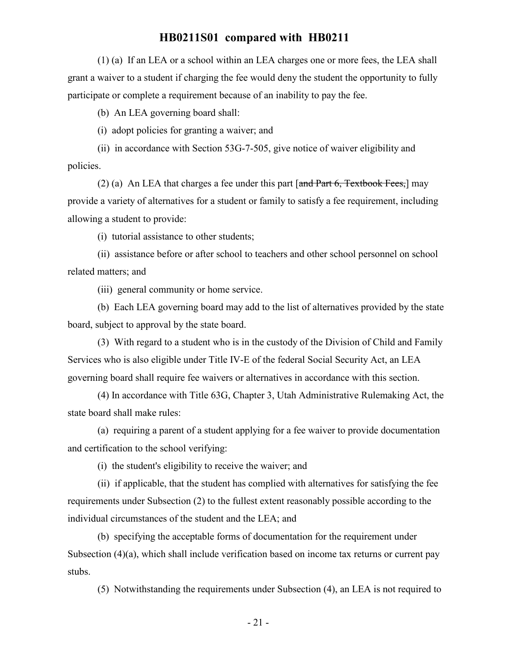(1) (a) If an LEA or a school within an LEA charges one or more fees, the LEA shall grant a waiver to a student if charging the fee would deny the student the opportunity to fully participate or complete a requirement because of an inability to pay the fee.

(b) An LEA governing board shall:

(i) adopt policies for granting a waiver; and

(ii) in accordance with Section 53G-7-505, give notice of waiver eligibility and policies.

(2) (a) An LEA that charges a fee under this part  $\lceil \frac{and Part 6, Textbook Fees} \rceil$  may provide a variety of alternatives for a student or family to satisfy a fee requirement, including allowing a student to provide:

(i) tutorial assistance to other students;

(ii) assistance before or after school to teachers and other school personnel on school related matters; and

(iii) general community or home service.

(b) Each LEA governing board may add to the list of alternatives provided by the state board, subject to approval by the state board.

(3) With regard to a student who is in the custody of the Division of Child and Family Services who is also eligible under Title IV-E of the federal Social Security Act, an LEA governing board shall require fee waivers or alternatives in accordance with this section.

(4) In accordance with Title 63G, Chapter 3, Utah Administrative Rulemaking Act, the state board shall make rules:

(a) requiring a parent of a student applying for a fee waiver to provide documentation and certification to the school verifying:

(i) the student's eligibility to receive the waiver; and

(ii) if applicable, that the student has complied with alternatives for satisfying the fee requirements under Subsection (2) to the fullest extent reasonably possible according to the individual circumstances of the student and the LEA; and

(b) specifying the acceptable forms of documentation for the requirement under Subsection (4)(a), which shall include verification based on income tax returns or current pay stubs.

(5) Notwithstanding the requirements under Subsection (4), an LEA is not required to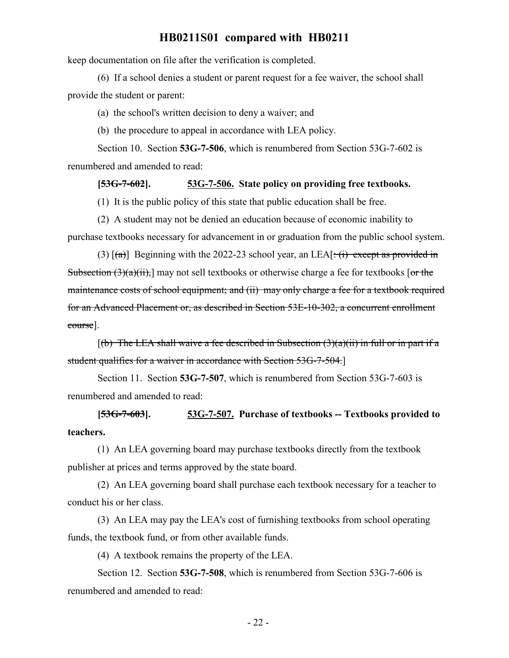keep documentation on file after the verification is completed.

(6) If a school denies a student or parent request for a fee waiver, the school shall provide the student or parent:

(a) the school's written decision to deny a waiver; and

(b) the procedure to appeal in accordance with LEA policy.

Section 10. Section **53G-7-506**, which is renumbered from Section 53G-7-602 is renumbered and amended to read:

#### **[53G-7-602]. 53G-7-506. State policy on providing free textbooks.**

(1) It is the public policy of this state that public education shall be free.

(2) A student may not be denied an education because of economic inability to purchase textbooks necessary for advancement in or graduation from the public school system.

(3)  $[(a)]$  Beginning with the 2022-23 school year, an LEA $[\div(i)$  except as provided in Subsection  $(3)(a)(ii)$ , may not sell textbooks or otherwise charge a fee for textbooks [or the maintenance costs of school equipment; and (ii) may only charge a fee for a textbook required for an Advanced Placement or, as described in Section 53E-10-302, a concurrent enrollment course].

 $[(b)$  The LEA shall waive a fee described in Subsection  $(3)(a)(ii)$  in full or in part if a student qualifies for a waiver in accordance with Section 53G-7-504.]

Section 11. Section **53G-7-507**, which is renumbered from Section 53G-7-603 is renumbered and amended to read:

**[53G-7-603]. 53G-7-507. Purchase of textbooks -- Textbooks provided to teachers.**

(1) An LEA governing board may purchase textbooks directly from the textbook publisher at prices and terms approved by the state board.

(2) An LEA governing board shall purchase each textbook necessary for a teacher to conduct his or her class.

(3) An LEA may pay the LEA's cost of furnishing textbooks from school operating funds, the textbook fund, or from other available funds.

(4) A textbook remains the property of the LEA.

Section 12. Section **53G-7-508**, which is renumbered from Section 53G-7-606 is renumbered and amended to read: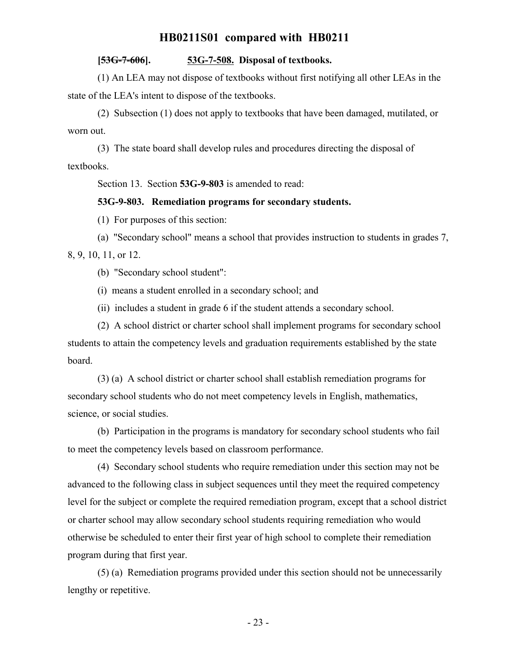### **[53G-7-606]. 53G-7-508. Disposal of textbooks.**

(1) An LEA may not dispose of textbooks without first notifying all other LEAs in the state of the LEA's intent to dispose of the textbooks.

(2) Subsection (1) does not apply to textbooks that have been damaged, mutilated, or worn out.

(3) The state board shall develop rules and procedures directing the disposal of textbooks.

Section 13. Section **53G-9-803** is amended to read:

### **53G-9-803. Remediation programs for secondary students.**

(1) For purposes of this section:

(a) "Secondary school" means a school that provides instruction to students in grades 7, 8, 9, 10, 11, or 12.

(b) "Secondary school student":

(i) means a student enrolled in a secondary school; and

(ii) includes a student in grade 6 if the student attends a secondary school.

(2) A school district or charter school shall implement programs for secondary school students to attain the competency levels and graduation requirements established by the state board.

(3) (a) A school district or charter school shall establish remediation programs for secondary school students who do not meet competency levels in English, mathematics, science, or social studies.

(b) Participation in the programs is mandatory for secondary school students who fail to meet the competency levels based on classroom performance.

(4) Secondary school students who require remediation under this section may not be advanced to the following class in subject sequences until they meet the required competency level for the subject or complete the required remediation program, except that a school district or charter school may allow secondary school students requiring remediation who would otherwise be scheduled to enter their first year of high school to complete their remediation program during that first year.

(5) (a) Remediation programs provided under this section should not be unnecessarily lengthy or repetitive.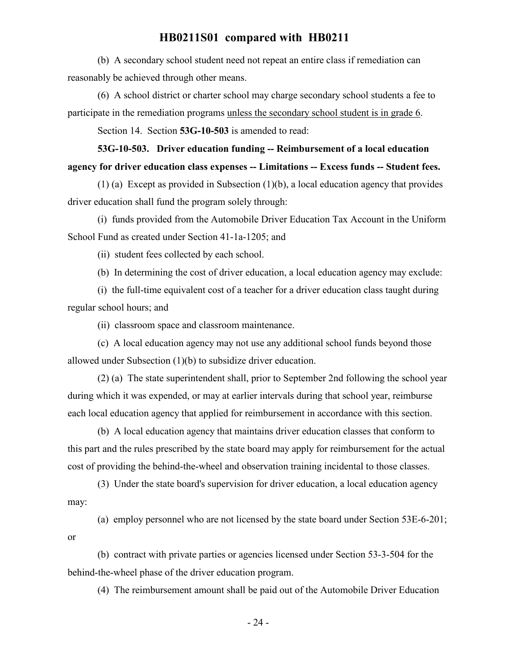(b) A secondary school student need not repeat an entire class if remediation can reasonably be achieved through other means.

(6) A school district or charter school may charge secondary school students a fee to participate in the remediation programs unless the secondary school student is in grade 6.

Section 14. Section **53G-10-503** is amended to read:

# **53G-10-503. Driver education funding -- Reimbursement of a local education agency for driver education class expenses -- Limitations -- Excess funds -- Student fees.**

(1) (a) Except as provided in Subsection (1)(b), a local education agency that provides driver education shall fund the program solely through:

(i) funds provided from the Automobile Driver Education Tax Account in the Uniform School Fund as created under Section 41-1a-1205; and

(ii) student fees collected by each school.

(b) In determining the cost of driver education, a local education agency may exclude:

(i) the full-time equivalent cost of a teacher for a driver education class taught during regular school hours; and

(ii) classroom space and classroom maintenance.

(c) A local education agency may not use any additional school funds beyond those allowed under Subsection (1)(b) to subsidize driver education.

(2) (a) The state superintendent shall, prior to September 2nd following the school year during which it was expended, or may at earlier intervals during that school year, reimburse each local education agency that applied for reimbursement in accordance with this section.

(b) A local education agency that maintains driver education classes that conform to this part and the rules prescribed by the state board may apply for reimbursement for the actual cost of providing the behind-the-wheel and observation training incidental to those classes.

(3) Under the state board's supervision for driver education, a local education agency may:

(a) employ personnel who are not licensed by the state board under Section 53E-6-201; or

(b) contract with private parties or agencies licensed under Section 53-3-504 for the behind-the-wheel phase of the driver education program.

(4) The reimbursement amount shall be paid out of the Automobile Driver Education